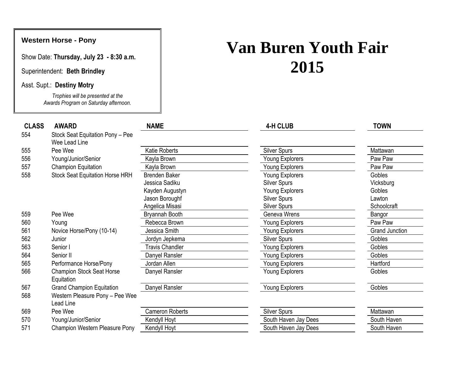## **Western Horse - Pony**

Show Date: **Thursday, July 23 - 8:30 a.m.**

Superintendent: **Beth Brindley**

Asst. Supt.: **Destiny Motry**

*Trophies will be presented at the Awards Program on Saturday afternoon.*

## **Van Buren Youth Fair 2015**

| <b>CLASS</b> | <b>AWARD</b>                                   | <b>NAME</b>            | <b>4-H CLUB</b>        | <b>TOWN</b>           |
|--------------|------------------------------------------------|------------------------|------------------------|-----------------------|
| 554          | Stock Seat Equitation Pony - Pee               |                        |                        |                       |
|              | Wee Lead Line                                  |                        |                        |                       |
| 555          | Pee Wee                                        | Katie Roberts          | <b>Silver Spurs</b>    | Mattawan              |
| 556          | Young/Junior/Senior                            | Kayla Brown            | Young Explorers        | Paw Paw               |
| 557          | <b>Champion Equitation</b>                     | Kayla Brown            | Young Explorers        | Paw Paw               |
| 558          | <b>Stock Seat Equitation Horse HRH</b>         | <b>Brenden Baker</b>   | Young Explorers        | Gobles                |
|              |                                                | Jessica Sadiku         | <b>Silver Spurs</b>    | Vicksburg             |
|              |                                                | Kayden Augustyn        | <b>Young Explorers</b> | Gobles                |
|              |                                                | Jason Boroughf         | <b>Silver Spurs</b>    | Lawton                |
|              |                                                | Angelica Misasi        | <b>Silver Spurs</b>    | Schoolcraft           |
| 559          | Pee Wee                                        | Bryannah Booth         | Geneva Wrens           | Bangor                |
| 560          | Young                                          | Rebecca Brown          | Young Explorers        | Paw Paw               |
| 561          | Novice Horse/Pony (10-14)                      | Jessica Smith          | Young Explorers        | <b>Grand Junction</b> |
| 562          | Junior                                         | Jordyn Jepkema         | <b>Silver Spurs</b>    | Gobles                |
| 563          | Senior I                                       | <b>Travis Chandler</b> | Young Explorers        | Gobles                |
| 564          | Senior II                                      | Danyel Ransler         | Young Explorers        | Gobles                |
| 565          | Performance Horse/Pony                         | Jordan Allen           | Young Explorers        | Hartford              |
| 566          | <b>Champion Stock Seat Horse</b><br>Equitation | Danyel Ransler         | <b>Young Explorers</b> | Gobles                |
| 567          | <b>Grand Champion Equitation</b>               | Danyel Ransler         | Young Explorers        | Gobles                |
| 568          | Western Pleasure Pony - Pee Wee<br>Lead Line   |                        |                        |                       |
| 569          | Pee Wee                                        | <b>Cameron Roberts</b> | <b>Silver Spurs</b>    | Mattawan              |
| 570          | Young/Junior/Senior                            | Kendyll Hoyt           | South Haven Jay Dees   | South Haven           |
| 571          | Champion Western Pleasure Pony                 | Kendyll Hoyt           | South Haven Jay Dees   | South Haven           |